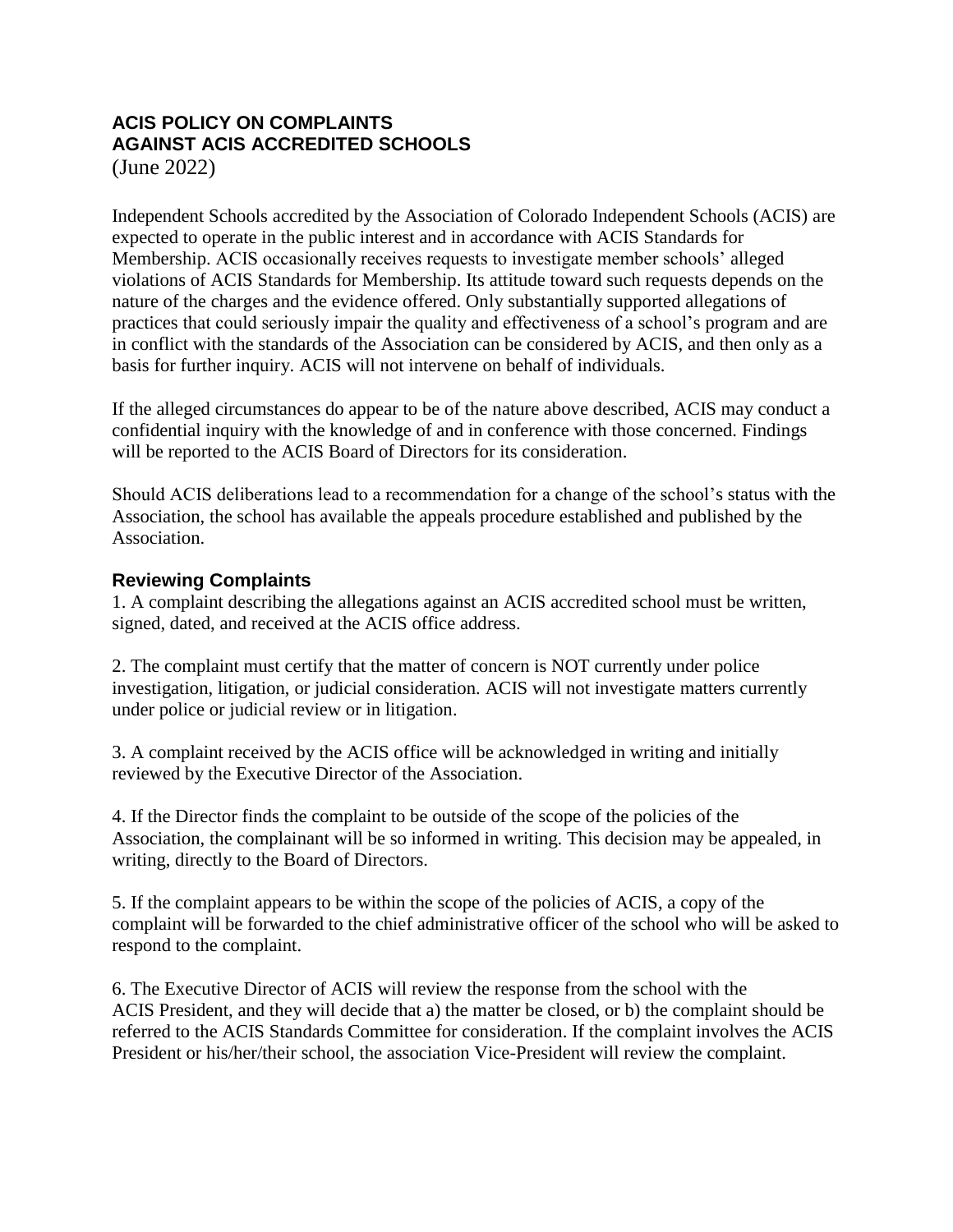## **ACIS POLICY ON COMPLAINTS AGAINST ACIS ACCREDITED SCHOOLS**

(June 2022)

Independent Schools accredited by the Association of Colorado Independent Schools (ACIS) are expected to operate in the public interest and in accordance with ACIS Standards for Membership. ACIS occasionally receives requests to investigate member schools' alleged violations of ACIS Standards for Membership. Its attitude toward such requests depends on the nature of the charges and the evidence offered. Only substantially supported allegations of practices that could seriously impair the quality and effectiveness of a school's program and are in conflict with the standards of the Association can be considered by ACIS, and then only as a basis for further inquiry. ACIS will not intervene on behalf of individuals.

If the alleged circumstances do appear to be of the nature above described, ACIS may conduct a confidential inquiry with the knowledge of and in conference with those concerned. Findings will be reported to the ACIS Board of Directors for its consideration.

Should ACIS deliberations lead to a recommendation for a change of the school's status with the Association, the school has available the appeals procedure established and published by the Association.

## **Reviewing Complaints**

1. A complaint describing the allegations against an ACIS accredited school must be written, signed, dated, and received at the ACIS office address.

2. The complaint must certify that the matter of concern is NOT currently under police investigation, litigation, or judicial consideration. ACIS will not investigate matters currently under police or judicial review or in litigation.

3. A complaint received by the ACIS office will be acknowledged in writing and initially reviewed by the Executive Director of the Association.

4. If the Director finds the complaint to be outside of the scope of the policies of the Association, the complainant will be so informed in writing. This decision may be appealed, in writing, directly to the Board of Directors.

5. If the complaint appears to be within the scope of the policies of ACIS, a copy of the complaint will be forwarded to the chief administrative officer of the school who will be asked to respond to the complaint.

6. The Executive Director of ACIS will review the response from the school with the ACIS President, and they will decide that a) the matter be closed, or b) the complaint should be referred to the ACIS Standards Committee for consideration. If the complaint involves the ACIS President or his/her/their school, the association Vice-President will review the complaint.